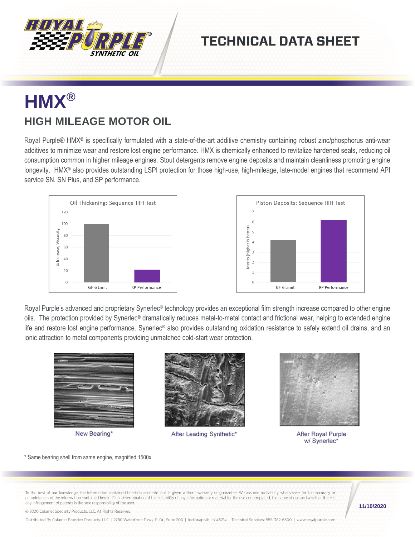

### **TECHNICAL DATA SHEET**

# **HMX® HIGH MILEAGE MOTOR OIL**

Royal Purple® HMX<sup>®</sup> is specifically formulated with a state-of-the-art additive chemistry containing robust zinc/phosphorus anti-wear additives to minimize wear and restore lost engine performance. HMX is chemically enhanced to revitalize hardened seals, reducing oil consumption common in higher mileage engines. Stout detergents remove engine deposits and maintain cleanliness promoting engine longevity. HMX® also provides outstanding LSPI protection for those high-use, high-mileage, late-model engines that recommend API service SN, SN Plus, and SP performance.





Royal Purple's advanced and proprietary Synerlec<sup>®</sup> technology provides an exceptional film strength increase compared to other engine oils. The protection provided by Synerlec® dramatically reduces metal-to-metal contact and frictional wear, helping to extended engine life and restore lost engine performance. Synerlec<sup>®</sup> also provides outstanding oxidation resistance to safely extend oil drains, and an ionic attraction to metal components providing unmatched cold-start wear protection.



New Bearing\*



After Leading Synthetic\*



After Royal Purple w/ Synerlec\*

\* Same bearing shell from same engine, magnified 1500x

To the best of our knowledge, the information contained herein is accurate, but is given without warranty or guarantee. We assume no liability whatsoever for the accuracy or completeness of the information contained herein. Final determination of the suitability of any information or material for the use contemplated, the name of use and whether there is any infringement of patents is the sole responsibility of the user

**11/10/2020**

© 2020 Calumet Specialty Products, LLC, All Rights Reserved

Distributed By Calumet Branded Products, LLC | 2780 Waterfront Pkwy. E. Dr., Suite 200 | Indianapolis, IN 46214 | Technical Services: 888-382-6300 | www.royalpurple.com